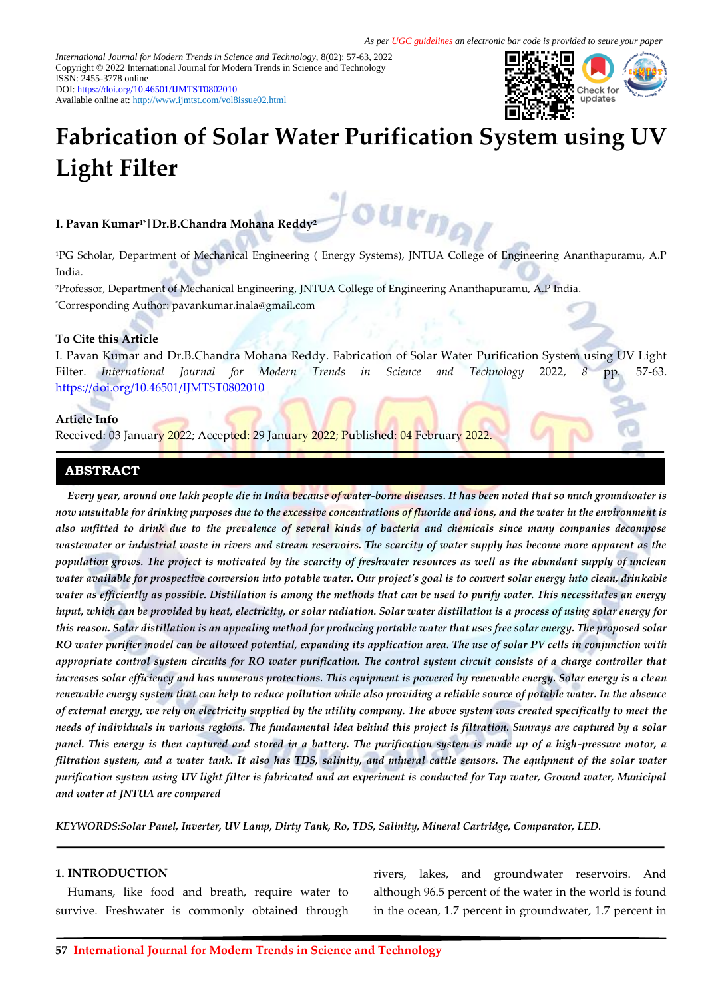*International Journal for Modern Trends in Science and Technology,* 8(02): 57-63, 2022 Copyright © 2022 International Journal for Modern Trends in Science and Technology ISSN: 2455-3778 online DOI[: https://doi.org/10.46501/IJMTST0802010](https://doi.org/10.46501/IJMTST0802010)

Available online at:<http://www.ijmtst.com/vol8issue02.html>



# **Fabrication of Solar Water Purification System using UV Light Filter**

# **I. Pavan Kumar1\*|Dr.B.Chandra Mohana Reddy<sup>2</sup>**

<sup>1</sup>PG Scholar, Department of Mechanical Engineering ( Energy Systems), JNTUA College of Engineering Ananthapuramu, A.P India.

u<sub>rn</sub>

<sup>2</sup>Professor, Department of Mechanical Engineering, JNTUA College of Engineering Ananthapuramu, A.P India. \*Corresponding Author: pavankumar.inala@gmail.com

#### **To Cite this Article**

I. Pavan Kumar and Dr.B.Chandra Mohana Reddy. Fabrication of Solar Water Purification System using UV Light Filter. *International Journal for Modern Trends in Science and Technology* 2022, *8* pp. 57-63. <https://doi.org/10.46501/IJMTST0802010>

#### **Article Info**

Received: 03 January 2022; Accepted: 29 January 2022; Published: 04 February 2022.

#### **ABSTRACT**

*Every year, around one lakh people die in India because of water-borne diseases. It has been noted that so much groundwater is now unsuitable for drinking purposes due to the excessive concentrations of fluoride and ions, and the water in the environment is also unfitted to drink due to the prevalence of several kinds of bacteria and chemicals since many companies decompose wastewater or industrial waste in rivers and stream reservoirs. The scarcity of water supply has become more apparent as the population grows. The project is motivated by the scarcity of freshwater resources as well as the abundant supply of unclean water available for prospective conversion into potable water. Our project's goal is to convert solar energy into clean, drinkable water as efficiently as possible. Distillation is among the methods that can be used to purify water. This necessitates an energy input, which can be provided by heat, electricity, or solar radiation. Solar water distillation is a process of using solar energy for this reason. Solar distillation is an appealing method for producing portable water that uses free solar energy. The proposed solar RO water purifier model can be allowed potential, expanding its application area. The use of solar PV cells in conjunction with appropriate control system circuits for RO water purification. The control system circuit consists of a charge controller that increases solar efficiency and has numerous protections. This equipment is powered by renewable energy. Solar energy is a clean renewable energy system that can help to reduce pollution while also providing a reliable source of potable water. In the absence of external energy, we rely on electricity supplied by the utility company. The above system was created specifically to meet the needs of individuals in various regions. The fundamental idea behind this project is filtration. Sunrays are captured by a solar panel. This energy is then captured and stored in a battery. The purification system is made up of a high-pressure motor, a filtration system, and a water tank. It also has TDS, salinity, and mineral cattle sensors. The equipment of the solar water purification system using UV light filter is fabricated and an experiment is conducted for Tap water, Ground water, Municipal and water at JNTUA are compared*

*KEYWORDS:Solar Panel, Inverter, UV Lamp, Dirty Tank, Ro, TDS, Salinity, Mineral Cartridge, Comparator, LED.*

#### **1. INTRODUCTION**

Humans, like food and breath, require water to survive. Freshwater is commonly obtained through

rivers, lakes, and groundwater reservoirs. And although 96.5 percent of the water in the world is found in the ocean, 1.7 percent in groundwater, 1.7 percent in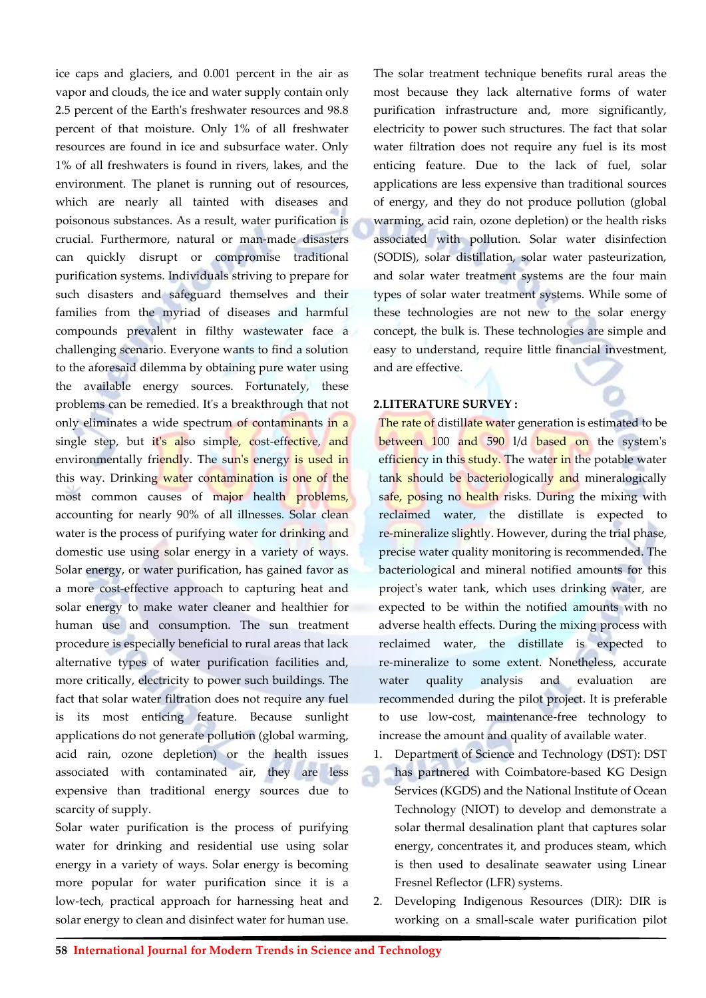ice caps and glaciers, and 0.001 percent in the air as vapor and clouds, the ice and water supply contain only 2.5 percent of the Earth's freshwater resources and 98.8 percent of that moisture. Only 1% of all freshwater resources are found in ice and subsurface water. Only 1% of all freshwaters is found in rivers, lakes, and the environment. The planet is running out of resources, which are nearly all tainted with diseases and poisonous substances. As a result, water purification is crucial. Furthermore, natural or man-made disasters can quickly disrupt or compromise traditional purification systems. Individuals striving to prepare for such disasters and safeguard themselves and their families from the myriad of diseases and harmful compounds prevalent in filthy wastewater face a challenging scenario. Everyone wants to find a solution to the aforesaid dilemma by obtaining pure water using the available energy sources. Fortunately, these problems can be remedied. It's a breakthrough that not only eliminates a wide spectrum of contaminants in a single step, but it's also simple, cost-effective, and environmentally friendly. The sun's energy is used in this way. Drinking water contamination is one of the most common causes of major health problems, accounting for nearly 90% of all illnesses. Solar clean water is the process of purifying water for drinking and domestic use using solar energy in a variety of ways. Solar energy, or water purification, has gained favor as a more cost-effective approach to capturing heat and solar energy to make water cleaner and healthier for human use and consumption. The sun treatment procedure is especially beneficial to rural areas that lack alternative types of water purification facilities and, more critically, electricity to power such buildings. The fact that solar water filtration does not require any fuel is its most enticing feature. Because sunlight applications do not generate pollution (global warming, acid rain, ozone depletion) or the health issues associated with contaminated air, they are less expensive than traditional energy sources due to scarcity of supply.

Solar water purification is the process of purifying water for drinking and residential use using solar energy in a variety of ways. Solar energy is becoming more popular for water purification since it is a low-tech, practical approach for harnessing heat and solar energy to clean and disinfect water for human use.

The solar treatment technique benefits rural areas the most because they lack alternative forms of water purification infrastructure and, more significantly, electricity to power such structures. The fact that solar water filtration does not require any fuel is its most enticing feature. Due to the lack of fuel, solar applications are less expensive than traditional sources of energy, and they do not produce pollution (global warming, acid rain, ozone depletion) or the health risks associated with pollution. Solar water disinfection (SODIS), solar distillation, solar water pasteurization, and solar water treatment systems are the four main types of solar water treatment systems. While some of these technologies are not new to the solar energy concept, the bulk is. These technologies are simple and easy to understand, require little financial investment, and are effective.

#### **2.LITERATURE SURVEY :**

The rate of distillate water generation is estimated to be between 100 and 590 l/d based on the system's efficiency in this study. The water in the potable water tank should be bacteriologically and mineralogically safe, posing no health risks. During the mixing with reclaimed water, the distillate is expected to re-mineralize slightly. However, during the trial phase, precise water quality monitoring is recommended. The bacteriological and mineral notified amounts for this project's water tank, which uses drinking water, are expected to be within the notified amounts with no adverse health effects. During the mixing process with reclaimed water, the distillate is expected to re-mineralize to some extent. Nonetheless, accurate water quality analysis and evaluation are recommended during the pilot project. It is preferable to use low-cost, maintenance-free technology to increase the amount and quality of available water.

- 1. Department of Science and Technology (DST): DST has partnered with Coimbatore-based KG Design Services (KGDS) and the National Institute of Ocean Technology (NIOT) to develop and demonstrate a solar thermal desalination plant that captures solar energy, concentrates it, and produces steam, which is then used to desalinate seawater using Linear Fresnel Reflector (LFR) systems.
- 2. Developing Indigenous Resources (DIR): DIR is working on a small-scale water purification pilot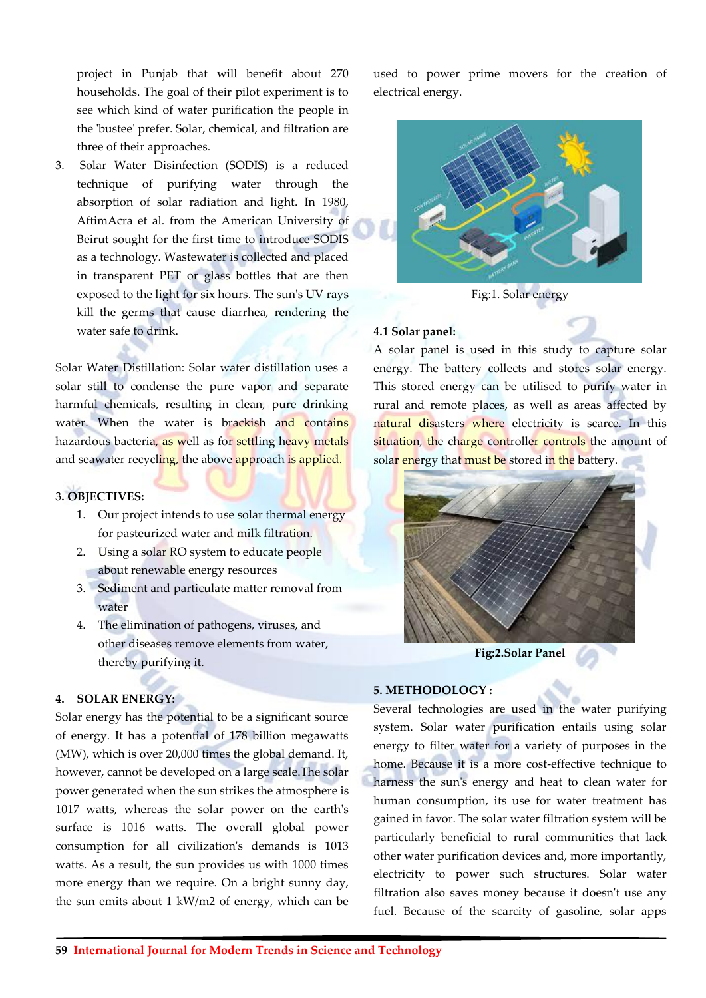project in Punjab that will benefit about 270 households. The goal of their pilot experiment is to see which kind of water purification the people in the 'bustee' prefer. Solar, chemical, and filtration are three of their approaches.

3. Solar Water Disinfection (SODIS) is a reduced technique of purifying water through the absorption of solar radiation and light. In 1980, AftimAcra et al. from the American University of Beirut sought for the first time to introduce SODIS as a technology. Wastewater is collected and placed in transparent PET or glass bottles that are then exposed to the light for six hours. The sun's UV rays kill the germs that cause diarrhea, rendering the water safe to drink.

Solar Water Distillation: Solar water distillation uses a solar still to condense the pure vapor and separate harmful chemicals, resulting in clean, pure drinking water. When the water is brackish and contains hazardous bacteria, as well as for settling heavy metals and seawater recycling, the above approach is applied.

## 3**. OBJECTIVES:**

- 1. Our project intends to use solar thermal energy for pasteurized water and milk filtration.
- 2. Using a solar RO system to educate people about renewable energy resources
- 3. Sediment and particulate matter removal from water
- 4. The elimination of pathogens, viruses, and other diseases remove elements from water, thereby purifying it.

#### **4. SOLAR ENERGY:**

Solar energy has the potential to be a significant source of energy. It has a potential of 178 billion megawatts (MW), which is over 20,000 times the global demand. It, however, cannot be developed on a large scale.The solar power generated when the sun strikes the atmosphere is 1017 watts, whereas the solar power on the earth's surface is 1016 watts. The overall global power consumption for all civilization's demands is 1013 watts. As a result, the sun provides us with 1000 times more energy than we require. On a bright sunny day, the sun emits about 1 kW/m2 of energy, which can be

used to power prime movers for the creation of electrical energy.



Fig:1. Solar energy

## **4.1 Solar panel:**

A solar panel is used in this study to capture solar energy. The battery collects and stores solar energy. This stored energy can be utilised to purify water in rural and remote places, as well as areas affected by natural disasters where electricity is scarce. In this situation, the charge controller controls the amount of solar energy that must be stored in the battery.



**Fig:2.Solar Panel**

## **5. METHODOLOGY :**

Several technologies are used in the water purifying system. Solar water purification entails using solar energy to filter water for a variety of purposes in the home. Because it is a more cost-effective technique to harness the sun's energy and heat to clean water for human consumption, its use for water treatment has gained in favor. The solar water filtration system will be particularly beneficial to rural communities that lack other water purification devices and, more importantly, electricity to power such structures. Solar water filtration also saves money because it doesn't use any fuel. Because of the scarcity of gasoline, solar apps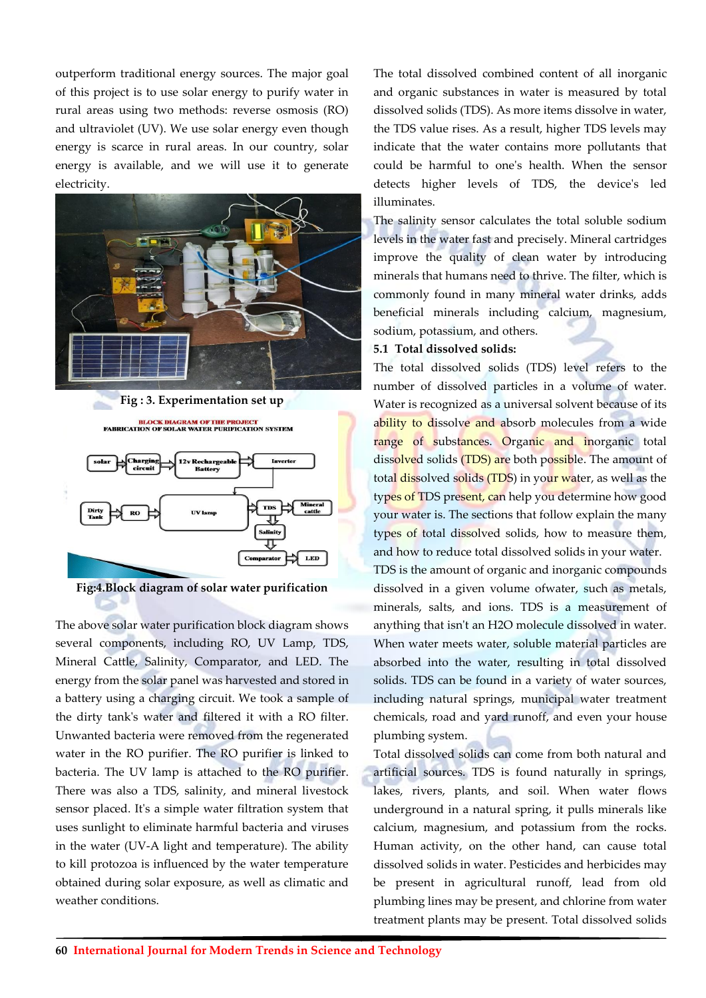outperform traditional energy sources. The major goal of this project is to use solar energy to purify water in rural areas using two methods: reverse osmosis (RO) and ultraviolet (UV). We use solar energy even though energy is scarce in rural areas. In our country, solar energy is available, and we will use it to generate electricity.



**Fig : 3. Experimentation set up**

**BLOCK DIAGRAM OF THE PROJECT<br>FABRICATION OF SOLAR WATER PURIFICATION SYSTEM** 

allo





The above solar water purification block diagram shows several components, including RO, UV Lamp, TDS, Mineral Cattle, Salinity, Comparator, and LED. The energy from the solar panel was harvested and stored in a battery using a charging circuit. We took a sample of the dirty tank's water and filtered it with a RO filter. Unwanted bacteria were removed from the regenerated water in the RO purifier. The RO purifier is linked to bacteria. The UV lamp is attached to the RO purifier. There was also a TDS, salinity, and mineral livestock sensor placed. It's a simple water filtration system that uses sunlight to eliminate harmful bacteria and viruses in the water (UV-A light and temperature). The ability to kill protozoa is influenced by the water temperature obtained during solar exposure, as well as climatic and weather conditions.

The total dissolved combined content of all inorganic and organic substances in water is measured by total dissolved solids (TDS). As more items dissolve in water, the TDS value rises. As a result, higher TDS levels may indicate that the water contains more pollutants that could be harmful to one's health. When the sensor detects higher levels of TDS, the device's led illuminates.

The salinity sensor calculates the total soluble sodium levels in the water fast and precisely. Mineral cartridges improve the quality of clean water by introducing minerals that humans need to thrive. The filter, which is commonly found in many mineral water drinks, adds beneficial minerals including calcium, magnesium, sodium, potassium, and others.

## **5.1 Total dissolved solids:**

The total dissolved solids (TDS) level refers to the number of dissolved particles in a volume of water. Water is recognized as a universal solvent because of its ability to dissolve and absorb molecules from a wide range of substances. Organic and inorganic total dissolved solids (TDS) are both possible. The amount of total dissolved solids (TDS) in your water, as well as the types of TDS present, can help you determine how good your water is. The sections that follow explain the many types of total dissolved solids, how to measure them, and how to reduce total dissolved solids in your water.

TDS is the amount of organic and inorganic compounds dissolved in a given volume ofwater, such as metals, minerals, salts, and ions. TDS is a measurement of anything that isn't an H2O molecule dissolved in water. When water meets water, soluble material particles are absorbed into the water, resulting in total dissolved solids. TDS can be found in a variety of water sources, including natural springs, municipal water treatment chemicals, road and yard runoff, and even your house plumbing system.

Total dissolved solids can come from both natural and artificial sources. TDS is found naturally in springs, lakes, rivers, plants, and soil. When water flows underground in a natural spring, it pulls minerals like calcium, magnesium, and potassium from the rocks. Human activity, on the other hand, can cause total dissolved solids in water. Pesticides and herbicides may be present in agricultural runoff, lead from old plumbing lines may be present, and chlorine from water treatment plants may be present. Total dissolved solids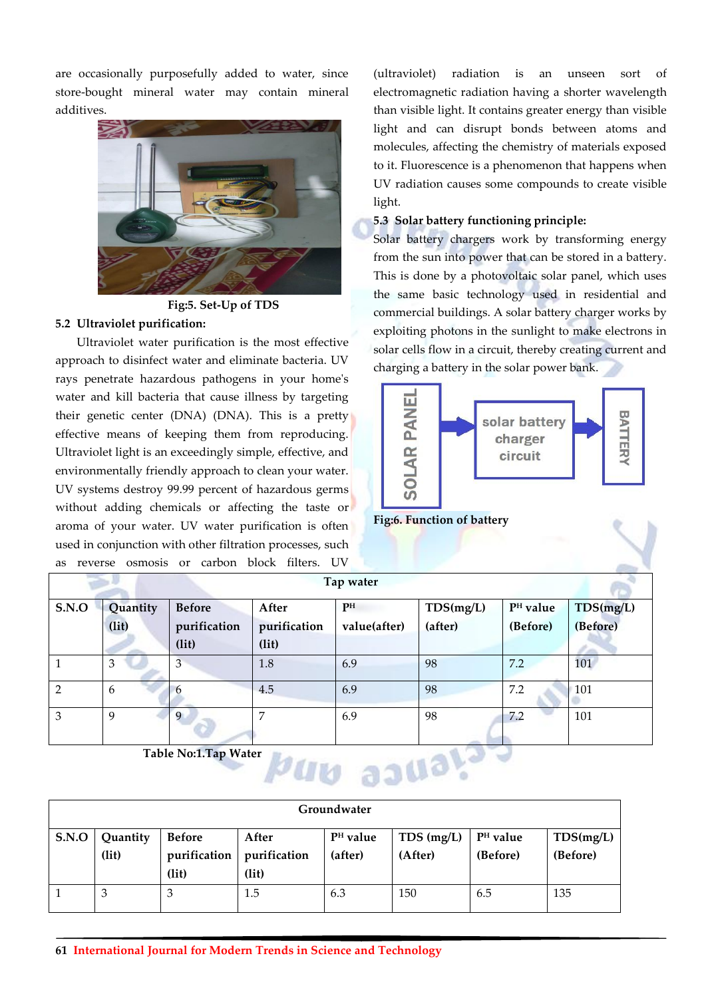are occasionally purposefully added to water, since store-bought mineral water may contain mineral additives.



**Fig:5. Set-Up of TDS**

## **5.2 Ultraviolet purification:**

Ultraviolet water purification is the most effective approach to disinfect water and eliminate bacteria. UV rays penetrate hazardous pathogens in your home's water and kill bacteria that cause illness by targeting their genetic center (DNA) (DNA). This is a pretty effective means of keeping them from reproducing. Ultraviolet light is an exceedingly simple, effective, and environmentally friendly approach to clean your water. UV systems destroy 99.99 percent of hazardous germs without adding chemicals or affecting the taste or aroma of your water. UV water purification is often used in conjunction with other filtration processes, such as reverses telephone filters.

(ultraviolet) radiation is an unseen sort of electromagnetic radiation having a shorter wavelength than visible light. It contains greater energy than visible light and can disrupt bonds between atoms and molecules, affecting the chemistry of materials exposed to it. Fluorescence is a phenomenon that happens when UV radiation causes some compounds to create visible light.

# **5.3 Solar battery functioning principle:**

Solar battery chargers work by transforming energy from the sun into power that can be stored in a battery. This is done by a photovoltaic solar panel, which uses the same basic technology used in residential and commercial buildings. A solar battery charger works by exploiting photons in the sunlight to make electrons in solar cells flow in a circuit, thereby creating current and charging a battery in the solar power bank.



**Fig:6. Function of battery**

| a5<br>Tevelse Osinosis of Carboll Diock Hitels. OV |          |               |              |              |           |                      |           |  |  |
|----------------------------------------------------|----------|---------------|--------------|--------------|-----------|----------------------|-----------|--|--|
| Tap water                                          |          |               |              |              |           |                      |           |  |  |
| S.N.O                                              | Quantity | <b>Before</b> | After        | PH           | TDS(mg/L) | P <sup>H</sup> value | TDS(mg/L) |  |  |
|                                                    | (lit)    | purification  | purification | value(after) | (after)   | (Before)             | (Before)  |  |  |
|                                                    |          | (lit)         | (lit)        |              |           |                      |           |  |  |
|                                                    | 3        | 3             | 1.8          | 6.9          | 98        | 7.2                  | 101       |  |  |
| $\mathcal{P}$                                      | 6        |               | 4.5          | 6.9          | 98        | 7.2                  | 101       |  |  |
| 3                                                  | 9        | 9             | 7            | 6.9          | 98        | 7.2                  | 101       |  |  |

**Table No:1.Tap Water**



| Groundwater  |                   |                                        |                                |                                 |                         |                                  |                       |  |  |
|--------------|-------------------|----------------------------------------|--------------------------------|---------------------------------|-------------------------|----------------------------------|-----------------------|--|--|
| <b>S.N.O</b> | Quantity<br>(lit) | <b>Before</b><br>purification<br>(lit) | After<br>purification<br>(lit) | P <sup>H</sup> value<br>(after) | $TDS$ (mg/L)<br>(After) | P <sup>H</sup> value<br>(Before) | TDS(mg/L)<br>(Before) |  |  |
|              | 3                 |                                        | 1.5                            | 6.3                             | 150                     | 6.5                              | 135                   |  |  |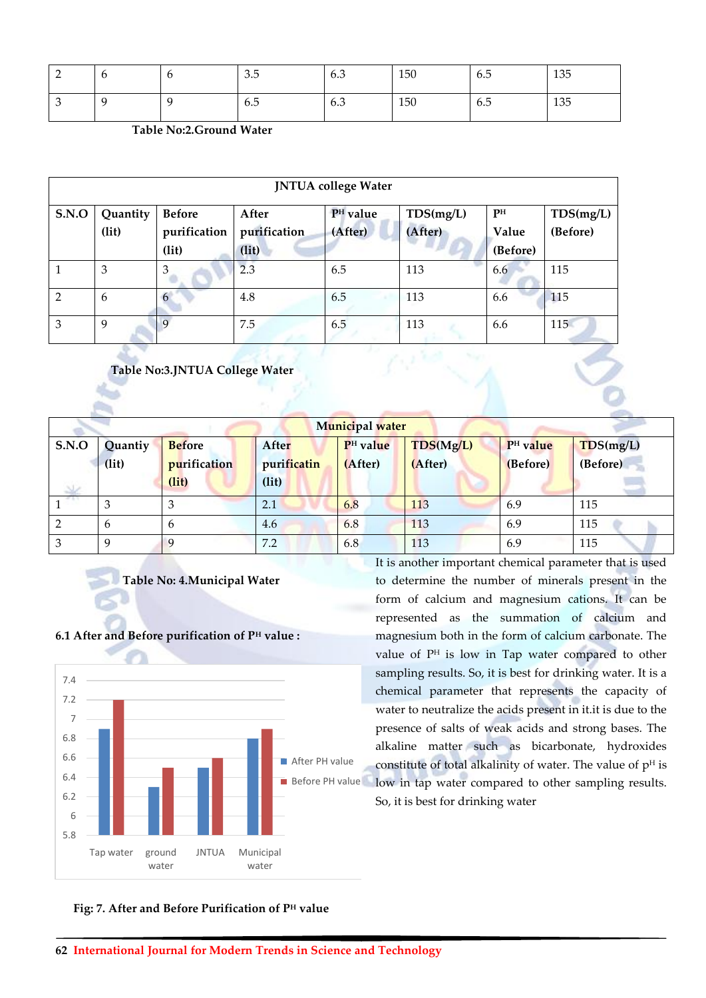| ∽<br>$\overline{\phantom{0}}$ | O | ◡ | 2E<br>J.J | 6.3 | 150 | -<br>6.5 | 135 |
|-------------------------------|---|---|-----------|-----|-----|----------|-----|
| $\lambda$                     |   |   | -<br>6.5  | 6.3 | 150 | 6.5      | 135 |

| <b>JNTUA</b> college Water |                   |                                        |                                |                                 |                      |                         |                       |  |
|----------------------------|-------------------|----------------------------------------|--------------------------------|---------------------------------|----------------------|-------------------------|-----------------------|--|
| <b>S.N.O</b>               | Quantity<br>(lit) | <b>Before</b><br>purification<br>(lit) | After<br>purification<br>(lit) | P <sup>H</sup> value<br>(After) | TDS(mg/L)<br>(After) | PН<br>Value<br>(Before) | TDS(mg/L)<br>(Before) |  |
|                            | 3                 | 3                                      | 2.3                            | 6.5                             | 113                  | 6.6                     | 115                   |  |
| 2                          | 6                 | 6                                      | 4.8                            | 6.5                             | 113                  | 6.6                     | 115                   |  |
| 3                          | 9                 |                                        | 7.5                            | 6.5                             | 113                  | 6.6                     | 115                   |  |

**Table No:3.JNTUA College Water**

| Municipal water |             |               |              |                      |           |                      |           |  |  |
|-----------------|-------------|---------------|--------------|----------------------|-----------|----------------------|-----------|--|--|
| S.N.O           | Quantiy     | <b>Before</b> | <b>After</b> | P <sup>H</sup> value | TDS(Mg/L) | P <sup>H</sup> value | TDS(mg/L) |  |  |
|                 | (lit)       | purification  | purificatin  | (After)              | (After)   | (Before)             | (Before)  |  |  |
|                 |             | (lit)         | (lit)        |                      |           |                      |           |  |  |
|                 | 3           | 3             | 2.1          | 6.8                  | 113       | 6.9                  | 115       |  |  |
|                 | 6           | 6             | 4.6          | 6.8                  | 113       | 6.9                  | 115       |  |  |
| ◠               | $\mathbf Q$ | 9             | 7.2          | 6.8                  | 113       | 6.9                  | 115       |  |  |

**Table No: 4.Municipal Water**



## **6.1 After and Before purification of P<sup>H</sup> value :**

It is another important chemical parameter that is used to determine the number of minerals present in the form of calcium and magnesium cations. It can be represented as the summation of calcium and magnesium both in the form of calcium carbonate. The value of P<sup>H</sup> is low in Tap water compared to other sampling results. So, it is best for drinking water. It is a chemical parameter that represents the capacity of water to neutralize the acids present in it.it is due to the presence of salts of weak acids and strong bases. The alkaline matter such as bicarbonate, hydroxides constitute of total alkalinity of water. The value of  $p<sup>H</sup>$  is low in tap water compared to other sampling results. So, it is best for drinking water

## **Fig: 7. After and Before Purification of P<sup>H</sup> value**